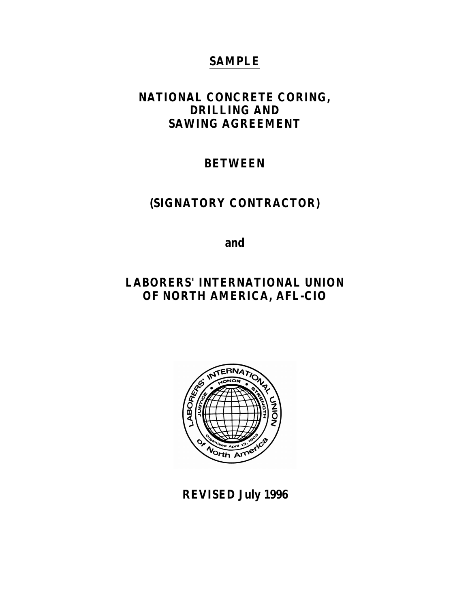# **SAMPLE**

# **NATIONAL CONCRETE CORING, DRILLING AND SAWING AGREEMENT**

# **BETWEEN**

# **(SIGNATORY CONTRACTOR)**

**and**

# **LABORERS' INTERNATIONAL UNION OF NORTH AMERICA, AFL-CIO**



**REVISED July 1996**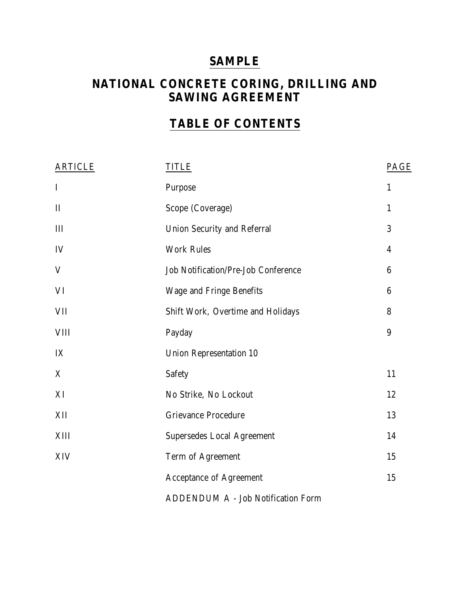# **SAMPLE**

# **NATIONAL CONCRETE CORING, DRILLING AND SAWING AGREEMENT**

# **TABLE OF CONTENTS**

| <b>ARTICLE</b> | TITLE                                      | PAGE         |  |
|----------------|--------------------------------------------|--------------|--|
| $\mathbf I$    | Purpose                                    | $\mathbf{1}$ |  |
| $\mathbf{I}$   | Scope (Coverage)                           | $\mathbf{1}$ |  |
| III            | <b>Union Security and Referral</b>         |              |  |
| IV             | <b>Work Rules</b>                          |              |  |
| V              | <b>Job Notification/Pre-Job Conference</b> | 6            |  |
| VI             | Wage and Fringe Benefits                   | 6            |  |
| VII            | Shift Work, Overtime and Holidays          | 8            |  |
| <b>VIII</b>    | Payday                                     | 9            |  |
| IX             | <b>Union Representation 10</b>             |              |  |
| X              | Safety                                     | 11           |  |
| XI             | No Strike, No Lockout                      | 12           |  |
| XII            | <b>Grievance Procedure</b>                 | 13           |  |
| XIII           | <b>Supersedes Local Agreement</b>          | 14           |  |
| XIV            | Term of Agreement                          | 15           |  |
|                | <b>Acceptance of Agreement</b>             | 15           |  |
|                | ADDENDUM A - Job Notification Form         |              |  |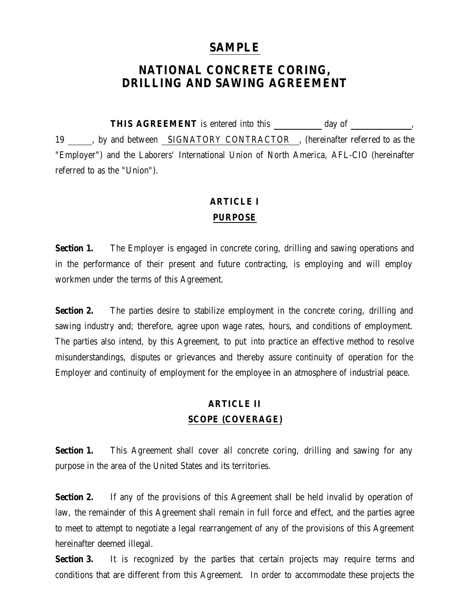## **SAMPLE**

# **NATIONAL CONCRETE CORING, DRILLING AND SAWING AGREEMENT**

THIS AGREEMENT is entered into this \_\_\_\_\_\_\_\_\_ day of \_\_\_\_\_\_\_\_\_\_\_, 19 , by and between SIGNATORY CONTRACTOR, thereinafter referred to as the "Employer") and the Laborers' International Union of North America, AFL-CIO (hereinafter referred to as the "Union").

## **ARTICLE I PURPOSE**

**Section 1.** The Employer is engaged in concrete coring, drilling and sawing operations and in the performance of their present and future contracting, is employing and will employ workmen under the terms of this Agreement.

**Section 2.** The parties desire to stabilize employment in the concrete coring, drilling and sawing industry and; therefore, agree upon wage rates, hours, and conditions of employment. The parties also intend, by this Agreement, to put into practice an effective method to resolve misunderstandings, disputes or grievances and thereby assure continuity of operation for the Employer and continuity of employment for the employee in an atmosphere of industrial peace.

## **ARTICLE II SCOPE (COVERAGE)**

**Section 1.** This Agreement shall cover all concrete coring, drilling and sawing for any purpose in the area of the United States and its territories.

**Section 2.** If any of the provisions of this Agreement shall be held invalid by operation of law, the remainder of this Agreement shall remain in full force and effect, and the parties agree to meet to attempt to negotiate a legal rearrangement of any of the provisions of this Agreement hereinafter deemed illegal.

**Section 3.** It is recognized by the parties that certain projects may require terms and conditions that are different from this Agreement. In order to accommodate these projects the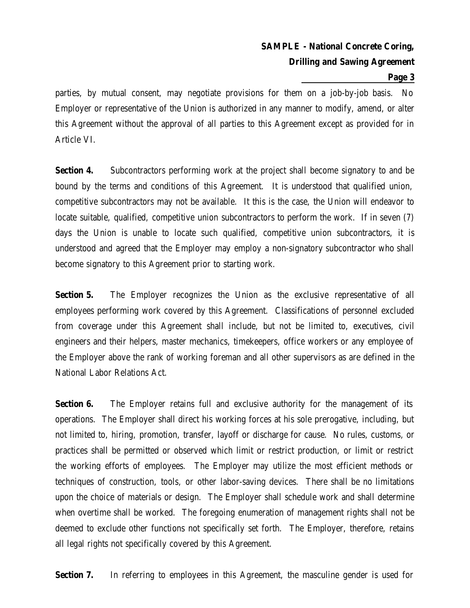#### **Page 3**

parties, by mutual consent, may negotiate provisions for them on a job-by-job basis. No Employer or representative of the Union is authorized in any manner to modify, amend, or alter this Agreement without the approval of all parties to this Agreement except as provided for in Article VI.

**Section 4.** Subcontractors performing work at the project shall become signatory to and be bound by the terms and conditions of this Agreement. It is understood that qualified union, competitive subcontractors may not be available. It this is the case, the Union will endeavor to locate suitable, qualified, competitive union subcontractors to perform the work. If in seven (7) days the Union is unable to locate such qualified, competitive union subcontractors, it is understood and agreed that the Employer may employ a non-signatory subcontractor who shall become signatory to this Agreement prior to starting work.

**Section 5.** The Employer recognizes the Union as the exclusive representative of all employees performing work covered by this Agreement. Classifications of personnel excluded from coverage under this Agreement shall include, but not be limited to, executives, civil engineers and their helpers, master mechanics, timekeepers, office workers or any employee of the Employer above the rank of working foreman and all other supervisors as are defined in the National Labor Relations Act.

**Section 6.** The Employer retains full and exclusive authority for the management of its operations. The Employer shall direct his working forces at his sole prerogative, including, but not limited to, hiring, promotion, transfer, layoff or discharge for cause. No rules, customs, or practices shall be permitted or observed which limit or restrict production, or limit or restrict the working efforts of employees. The Employer may utilize the most efficient methods or techniques of construction, tools, or other labor-saving devices. There shall be no limitations upon the choice of materials or design. The Employer shall schedule work and shall determine when overtime shall be worked. The foregoing enumeration of management rights shall not be deemed to exclude other functions not specifically set forth. The Employer, therefore, retains all legal rights not specifically covered by this Agreement.

**Section 7.** In referring to employees in this Agreement, the masculine gender is used for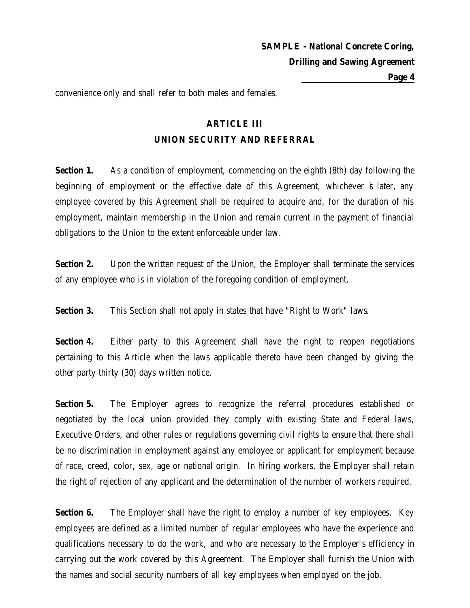convenience only and shall refer to both males and females.

# **ARTICLE III UNION SECURITY AND REFERRAL**

**Section 1.** As a condition of employment, commencing on the eighth (8th) day following the beginning of employment or the effective date of this Agreement, whichever is later, any employee covered by this Agreement shall be required to acquire and, for the duration of his employment, maintain membership in the Union and remain current in the payment of financial obligations to the Union to the extent enforceable under law.

**Section 2.** Upon the written request of the Union, the Employer shall terminate the services of any employee who is in violation of the foregoing condition of employment.

**Section 3.** This Section shall not apply in states that have "Right to Work" laws.

**Section 4.** Either party to this Agreement shall have the right to reopen negotiations pertaining to this Article when the laws applicable thereto have been changed by giving the other party thirty (30) days written notice.

**Section 5.** The Employer agrees to recognize the referral procedures established or negotiated by the local union provided they comply with existing State and Federal laws, Executive Orders, and other rules or regulations governing civil rights to ensure that there shall be no discrimination in employment against any employee or applicant for employment because of race, creed, color, sex, age or national origin. In hiring workers, the Employer shall retain the right of rejection of any applicant and the determination of the number of workers required.

**Section 6.** The Employer shall have the right to employ a number of key employees. Key employees are defined as a limited number of regular employees who have the experience and qualifications necessary to do the work, and who are necessary to the Employer's efficiency in carrying out the work covered by this Agreement. The Employer shall furnish the Union with the names and social security numbers of all key employees when employed on the job.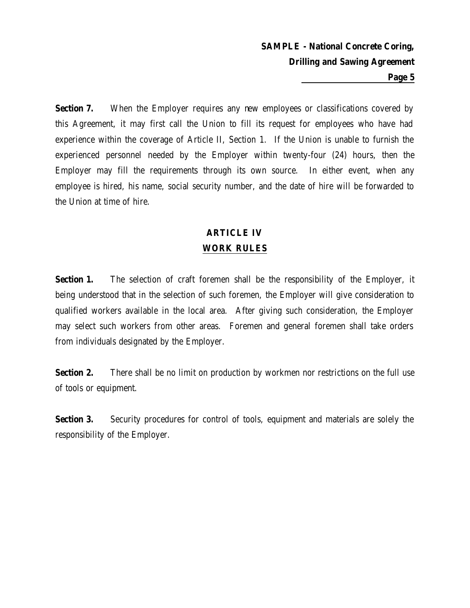**Section 7.** When the Employer requires any new employees or classifications covered by this Agreement, it may first call the Union to fill its request for employees who have had experience within the coverage of Article II, Section 1. If the Union is unable to furnish the experienced personnel needed by the Employer within twenty-four (24) hours, then the Employer may fill the requirements through its own source. In either event, when any employee is hired, his name, social security number, and the date of hire will be forwarded to the Union at time of hire.

## **ARTICLE IV WORK RULES**

**Section 1.** The selection of craft foremen shall be the responsibility of the Employer, it being understood that in the selection of such foremen, the Employer will give consideration to qualified workers available in the local area. After giving such consideration, the Employer may select such workers from other areas. Foremen and general foremen shall take orders from individuals designated by the Employer.

**Section 2.** There shall be no limit on production by workmen nor restrictions on the full use of tools or equipment.

**Section 3.** Security procedures for control of tools, equipment and materials are solely the responsibility of the Employer.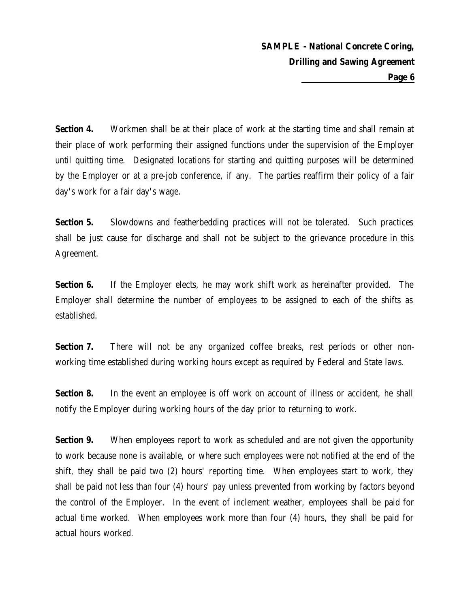**Section 4.** Workmen shall be at their place of work at the starting time and shall remain at their place of work performing their assigned functions under the supervision of the Employer until quitting time. Designated locations for starting and quitting purposes will be determined by the Employer or at a pre-job conference, if any. The parties reaffirm their policy of a fair day's work for a fair day's wage.

**Section 5.** Slowdowns and featherbedding practices will not be tolerated. Such practices shall be just cause for discharge and shall not be subject to the grievance procedure in this Agreement.

**Section 6.** If the Employer elects, he may work shift work as hereinafter provided. The Employer shall determine the number of employees to be assigned to each of the shifts as established.

**Section 7.** There will not be any organized coffee breaks, rest periods or other nonworking time established during working hours except as required by Federal and State laws.

**Section 8.** In the event an employee is off work on account of illness or accident, he shall notify the Employer during working hours of the day prior to returning to work.

**Section 9.** When employees report to work as scheduled and are not given the opportunity to work because none is available, or where such employees were not notified at the end of the shift, they shall be paid two (2) hours' reporting time. When employees start to work, they shall be paid not less than four (4) hours' pay unless prevented from working by factors beyond the control of the Employer. In the event of inclement weather, employees shall be paid for actual time worked. When employees work more than four (4) hours, they shall be paid for actual hours worked.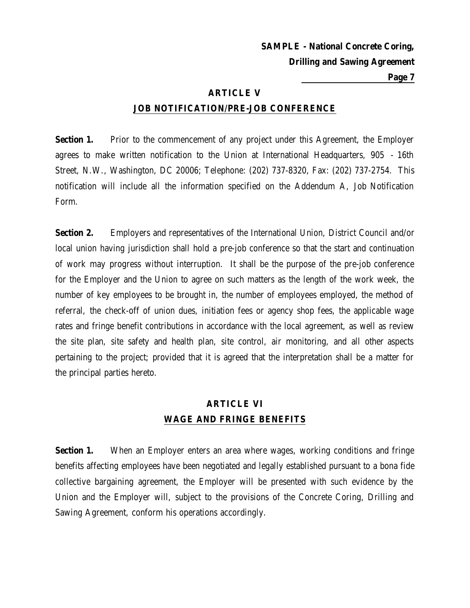**Page 7**

### **ARTICLE V**

### **JOB NOTIFICATION/PRE-JOB CONFERENCE**

**Section 1.** Prior to the commencement of any project under this Agreement, the Employer agrees to make written notification to the Union at International Headquarters, 905 - 16th Street, N.W., Washington, DC 20006; Telephone: (202) 737-8320, Fax: (202) 737-2754. This notification will include all the information specified on the Addendum A, Job Notification Form.

**Section 2.** Employers and representatives of the International Union, District Council and/or local union having jurisdiction shall hold a pre-job conference so that the start and continuation of work may progress without interruption. It shall be the purpose of the pre-job conference for the Employer and the Union to agree on such matters as the length of the work week, the number of key employees to be brought in, the number of employees employed, the method of referral, the check-off of union dues, initiation fees or agency shop fees, the applicable wage rates and fringe benefit contributions in accordance with the local agreement, as well as review the site plan, site safety and health plan, site control, air monitoring, and all other aspects pertaining to the project; provided that it is agreed that the interpretation shall be a matter for the principal parties hereto.

# **ARTICLE VI WAGE AND FRINGE BENEFITS**

**Section 1.** When an Employer enters an area where wages, working conditions and fringe benefits affecting employees have been negotiated and legally established pursuant to a bona fide collective bargaining agreement, the Employer will be presented with such evidence by the Union and the Employer will, subject to the provisions of the Concrete Coring, Drilling and Sawing Agreement, conform his operations accordingly.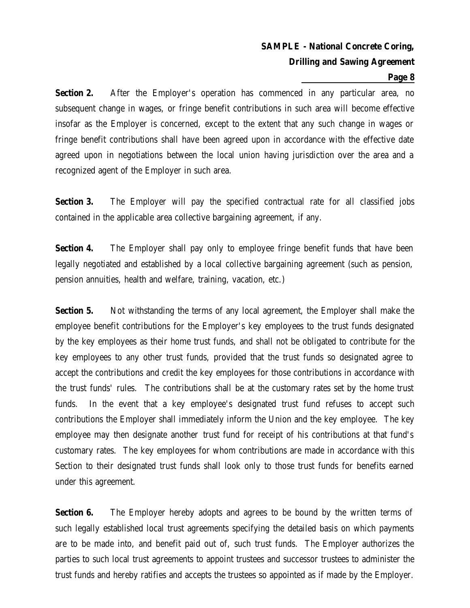#### **Page 8**

**Section 2.** After the Employer's operation has commenced in any particular area, no subsequent change in wages, or fringe benefit contributions in such area will become effective insofar as the Employer is concerned, except to the extent that any such change in wages or fringe benefit contributions shall have been agreed upon in accordance with the effective date agreed upon in negotiations between the local union having jurisdiction over the area and a recognized agent of the Employer in such area.

**Section 3.** The Employer will pay the specified contractual rate for all classified jobs contained in the applicable area collective bargaining agreement, if any.

**Section 4.** The Employer shall pay only to employee fringe benefit funds that have been legally negotiated and established by a local collective bargaining agreement (such as pension, pension annuities, health and welfare, training, vacation, etc.)

**Section 5.** Not withstanding the terms of any local agreement, the Employer shall make the employee benefit contributions for the Employer's key employees to the trust funds designated by the key employees as their home trust funds, and shall not be obligated to contribute for the key employees to any other trust funds, provided that the trust funds so designated agree to accept the contributions and credit the key employees for those contributions in accordance with the trust funds' rules. The contributions shall be at the customary rates set by the home trust funds. In the event that a key employee's designated trust fund refuses to accept such contributions the Employer shall immediately inform the Union and the key employee. The key employee may then designate another trust fund for receipt of his contributions at that fund's customary rates. The key employees for whom contributions are made in accordance with this Section to their designated trust funds shall look only to those trust funds for benefits earned under this agreement.

**Section 6.** The Employer hereby adopts and agrees to be bound by the written terms of such legally established local trust agreements specifying the detailed basis on which payments are to be made into, and benefit paid out of, such trust funds. The Employer authorizes the parties to such local trust agreements to appoint trustees and successor trustees to administer the trust funds and hereby ratifies and accepts the trustees so appointed as if made by the Employer.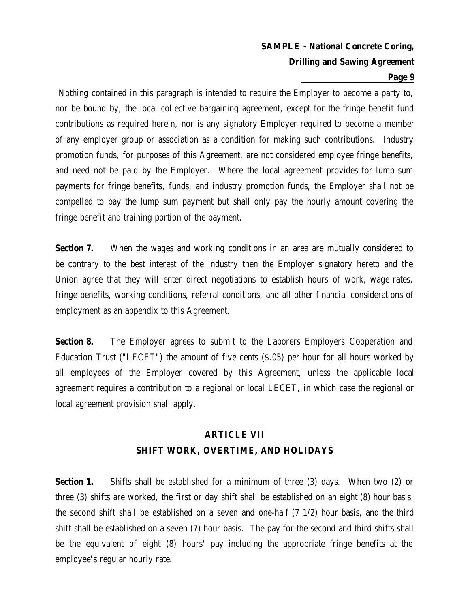#### **Page 9**

 Nothing contained in this paragraph is intended to require the Employer to become a party to, nor be bound by, the local collective bargaining agreement, except for the fringe benefit fund contributions as required herein, nor is any signatory Employer required to become a member of any employer group or association as a condition for making such contributions. Industry promotion funds, for purposes of this Agreement, are not considered employee fringe benefits, and need not be paid by the Employer. Where the local agreement provides for lump sum payments for fringe benefits, funds, and industry promotion funds, the Employer shall not be compelled to pay the lump sum payment but shall only pay the hourly amount covering the fringe benefit and training portion of the payment.

**Section 7.** When the wages and working conditions in an area are mutually considered to be contrary to the best interest of the industry then the Employer signatory hereto and the Union agree that they will enter direct negotiations to establish hours of work, wage rates, fringe benefits, working conditions, referral conditions, and all other financial considerations of employment as an appendix to this Agreement.

**Section 8.** The Employer agrees to submit to the Laborers Employers Cooperation and Education Trust ("LECET") the amount of five cents (\$.05) per hour for all hours worked by all employees of the Employer covered by this Agreement, unless the applicable local agreement requires a contribution to a regional or local LECET, in which case the regional or local agreement provision shall apply.

# **ARTICLE VII SHIFT WORK, OVERTIME, AND HOLIDAYS**

**Section 1.** Shifts shall be established for a minimum of three (3) days. When two (2) or three (3) shifts are worked, the first or day shift shall be established on an eight (8) hour basis, the second shift shall be established on a seven and one-half (7 1/2) hour basis, and the third shift shall be established on a seven (7) hour basis. The pay for the second and third shifts shall be the equivalent of eight (8) hours' pay including the appropriate fringe benefits at the employee's regular hourly rate.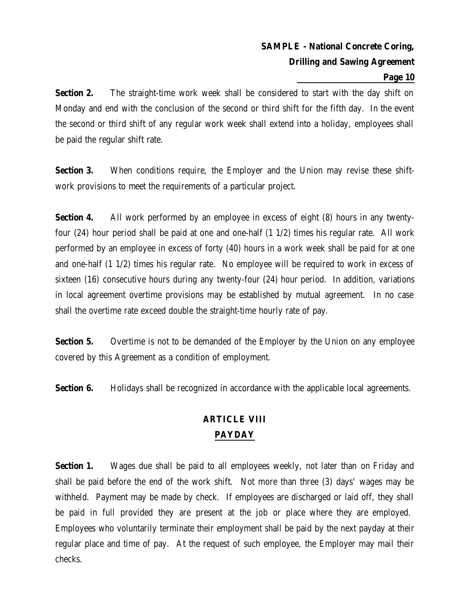### **Page 10**

**Section 2.** The straight-time work week shall be considered to start with the day shift on Monday and end with the conclusion of the second or third shift for the fifth day. In the event the second or third shift of any regular work week shall extend into a holiday, employees shall be paid the regular shift rate.

**Section 3.** When conditions require, the Employer and the Union may revise these shiftwork provisions to meet the requirements of a particular project.

**Section 4.** All work performed by an employee in excess of eight (8) hours in any twentyfour (24) hour period shall be paid at one and one-half (1 1/2) times his regular rate. All work performed by an employee in excess of forty (40) hours in a work week shall be paid for at one and one-half (1 1/2) times his regular rate. No employee will be required to work in excess of sixteen (16) consecutive hours during any twenty-four (24) hour period. In addition, variations in local agreement overtime provisions may be established by mutual agreement. In no case shall the overtime rate exceed double the straight-time hourly rate of pay.

**Section 5.** Overtime is not to be demanded of the Employer by the Union on any employee covered by this Agreement as a condition of employment.

**Section 6.** Holidays shall be recognized in accordance with the applicable local agreements.

# **ARTICLE VIII PAYDAY**

**Section 1.** Wages due shall be paid to all employees weekly, not later than on Friday and shall be paid before the end of the work shift. Not more than three (3) days' wages may be withheld. Payment may be made by check. If employees are discharged or laid off, they shall be paid in full provided they are present at the job or place where they are employed. Employees who voluntarily terminate their employment shall be paid by the next payday at their regular place and time of pay. At the request of such employee, the Employer may mail their checks.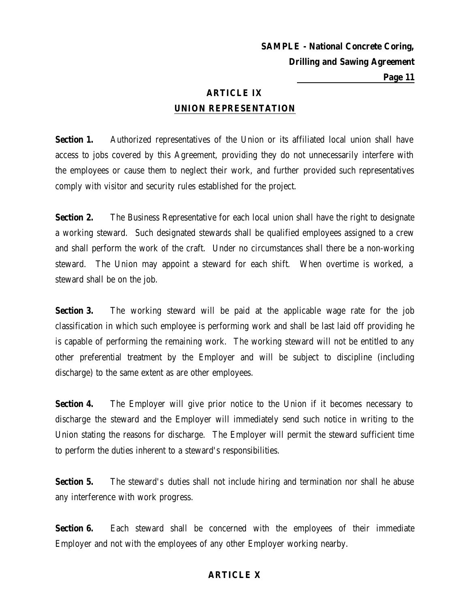## **ARTICLE IX UNION REPRESENTATION**

**Section 1.** Authorized representatives of the Union or its affiliated local union shall have access to jobs covered by this Agreement, providing they do not unnecessarily interfere with the employees or cause them to neglect their work, and further provided such representatives comply with visitor and security rules established for the project.

**Section 2.** The Business Representative for each local union shall have the right to designate a working steward. Such designated stewards shall be qualified employees assigned to a crew and shall perform the work of the craft. Under no circumstances shall there be a non-working steward. The Union may appoint a steward for each shift. When overtime is worked, a steward shall be on the job.

**Section 3.** The working steward will be paid at the applicable wage rate for the job classification in which such employee is performing work and shall be last laid off providing he is capable of performing the remaining work. The working steward will not be entitled to any other preferential treatment by the Employer and will be subject to discipline (including discharge) to the same extent as are other employees.

**Section 4.** The Employer will give prior notice to the Union if it becomes necessary to discharge the steward and the Employer will immediately send such notice in writing to the Union stating the reasons for discharge. The Employer will permit the steward sufficient time to perform the duties inherent to a steward's responsibilities.

**Section 5.** The steward's duties shall not include hiring and termination nor shall he abuse any interference with work progress.

**Section 6.** Each steward shall be concerned with the employees of their immediate Employer and not with the employees of any other Employer working nearby.

## **ARTICLE X**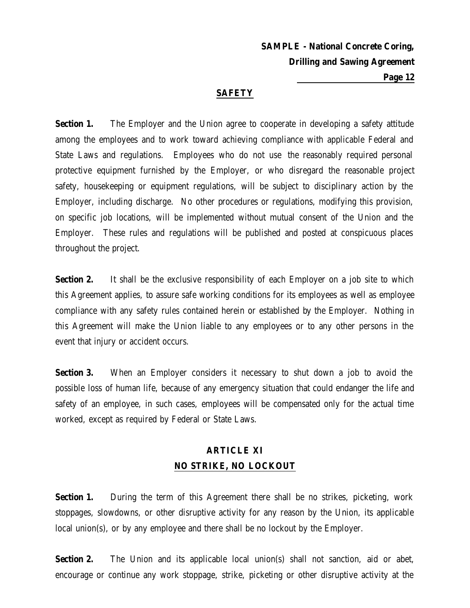### **SAFETY**

**Section 1.** The Employer and the Union agree to cooperate in developing a safety attitude among the employees and to work toward achieving compliance with applicable Federal and State Laws and regulations. Employees who do not use the reasonably required personal protective equipment furnished by the Employer, or who disregard the reasonable project safety, housekeeping or equipment regulations, will be subject to disciplinary action by the Employer, including discharge. No other procedures or regulations, modifying this provision, on specific job locations, will be implemented without mutual consent of the Union and the Employer. These rules and regulations will be published and posted at conspicuous places throughout the project.

**Section 2.** It shall be the exclusive responsibility of each Employer on a job site to which this Agreement applies, to assure safe working conditions for its employees as well as employee compliance with any safety rules contained herein or established by the Employer. Nothing in this Agreement will make the Union liable to any employees or to any other persons in the event that injury or accident occurs.

**Section 3.** When an Employer considers it necessary to shut down a job to avoid the possible loss of human life, because of any emergency situation that could endanger the life and safety of an employee, in such cases, employees will be compensated only for the actual time worked, except as required by Federal or State Laws.

## **ARTICLE XI NO STRIKE, NO LOCKOUT**

**Section 1.** During the term of this Agreement there shall be no strikes, picketing, work stoppages, slowdowns, or other disruptive activity for any reason by the Union, its applicable local union(s), or by any employee and there shall be no lockout by the Employer.

**Section 2.** The Union and its applicable local union(s) shall not sanction, aid or abet, encourage or continue any work stoppage, strike, picketing or other disruptive activity at the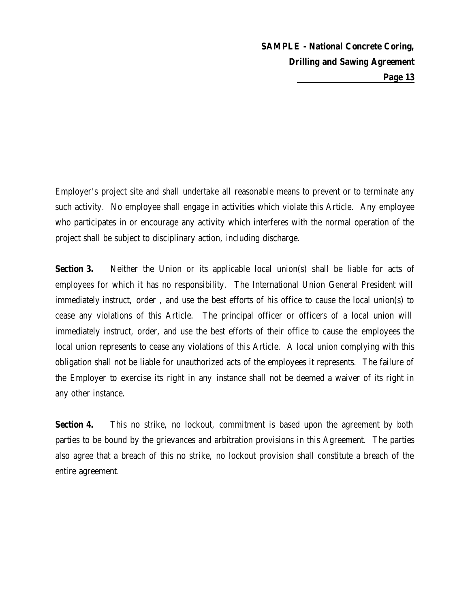Employer's project site and shall undertake all reasonable means to prevent or to terminate any such activity. No employee shall engage in activities which violate this Article. Any employee who participates in or encourage any activity which interferes with the normal operation of the project shall be subject to disciplinary action, including discharge.

**Section 3.** Neither the Union or its applicable local union(s) shall be liable for acts of employees for which it has no responsibility. The International Union General President will immediately instruct, order , and use the best efforts of his office to cause the local union(s) to cease any violations of this Article. The principal officer or officers of a local union will immediately instruct, order, and use the best efforts of their office to cause the employees the local union represents to cease any violations of this Article. A local union complying with this obligation shall not be liable for unauthorized acts of the employees it represents. The failure of the Employer to exercise its right in any instance shall not be deemed a waiver of its right in any other instance.

**Section 4.** This no strike, no lockout, commitment is based upon the agreement by both parties to be bound by the grievances and arbitration provisions in this Agreement. The parties also agree that a breach of this no strike, no lockout provision shall constitute a breach of the entire agreement.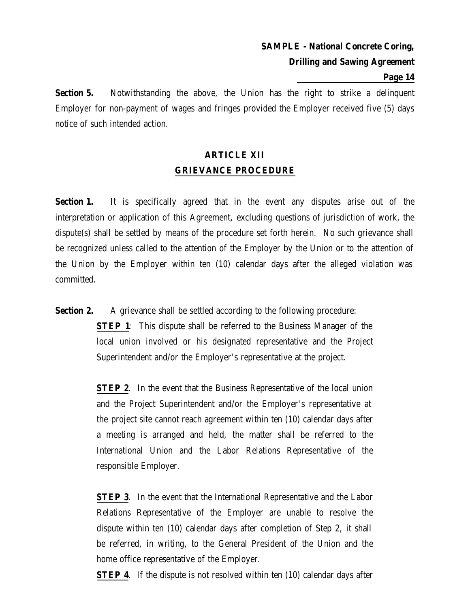#### **Page 14**

**Section 5.** Notwithstanding the above, the Union has the right to strike a delinquent Employer for non-payment of wages and fringes provided the Employer received five (5) days notice of such intended action.

# **ARTICLE XII GRIEVANCE PROCEDURE**

**Section 1.** It is specifically agreed that in the event any disputes arise out of the interpretation or application of this Agreement, excluding questions of jurisdiction of work, the dispute(s) shall be settled by means of the procedure set forth herein. No such grievance shall be recognized unless called to the attention of the Employer by the Union or to the attention of the Union by the Employer within ten (10) calendar days after the alleged violation was committed.

**Section 2.** A grievance shall be settled according to the following procedure:

**STEP 1**: This dispute shall be referred to the Business Manager of the local union involved or his designated representative and the Project Superintendent and/or the Employer's representative at the project.

**STEP 2.** In the event that the Business Representative of the local union and the Project Superintendent and/or the Employer's representative at the project site cannot reach agreement within ten (10) calendar days after a meeting is arranged and held, the matter shall be referred to the International Union and the Labor Relations Representative of the responsible Employer.

**STEP 3.** In the event that the International Representative and the Labor Relations Representative of the Employer are unable to resolve the dispute within ten (10) calendar days after completion of Step 2, it shall be referred, in writing, to the General President of the Union and the home office representative of the Employer.

**STEP 4.** If the dispute is not resolved within ten (10) calendar days after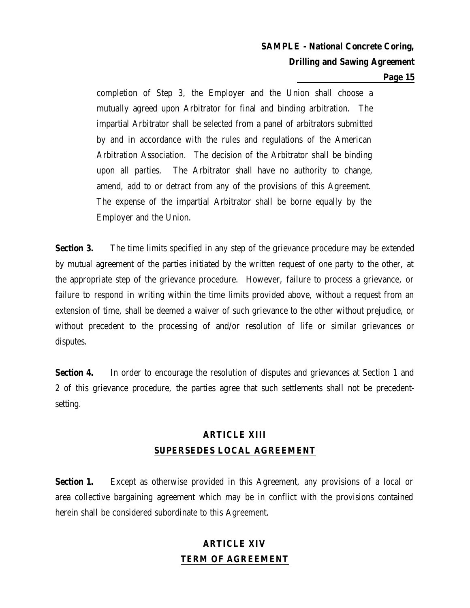#### **Page 15**

completion of Step 3, the Employer and the Union shall choose a mutually agreed upon Arbitrator for final and binding arbitration. The impartial Arbitrator shall be selected from a panel of arbitrators submitted by and in accordance with the rules and regulations of the American Arbitration Association. The decision of the Arbitrator shall be binding upon all parties. The Arbitrator shall have no authority to change, amend, add to or detract from any of the provisions of this Agreement. The expense of the impartial Arbitrator shall be borne equally by the Employer and the Union.

**Section 3.** The time limits specified in any step of the grievance procedure may be extended by mutual agreement of the parties initiated by the written request of one party to the other, at the appropriate step of the grievance procedure. However, failure to process a grievance, or failure to respond in writing within the time limits provided above, without a request from an extension of time, shall be deemed a waiver of such grievance to the other without prejudice, or without precedent to the processing of and/or resolution of life or similar grievances or disputes.

**Section 4.** In order to encourage the resolution of disputes and grievances at Section 1 and 2 of this grievance procedure, the parties agree that such settlements shall not be precedentsetting.

# **ARTICLE XIII SUPERSEDES LOCAL AGREEMENT**

**Section 1.** Except as otherwise provided in this Agreement, any provisions of a local or area collective bargaining agreement which may be in conflict with the provisions contained herein shall be considered subordinate to this Agreement.

# **ARTICLE XIV TERM OF AGREEMENT**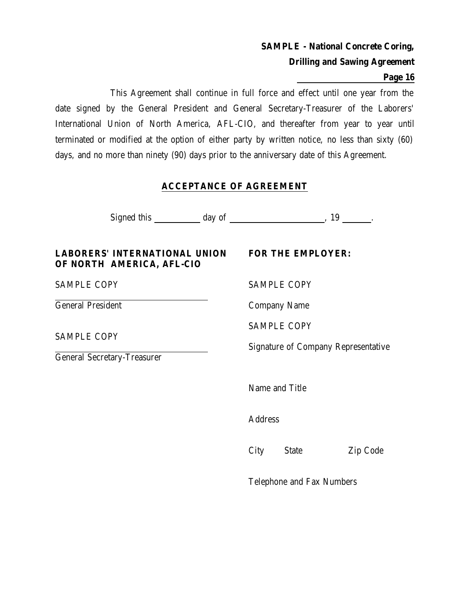### **Page 16**

This Agreement shall continue in full force and effect until one year from the date signed by the General President and General Secretary-Treasurer of the Laborers' International Union of North America, AFL-CIO, and thereafter from year to year until terminated or modified at the option of either party by written notice, no less than sixty (60) days, and no more than ninety (90) days prior to the anniversary date of this Agreement.

### **ACCEPTANCE OF AGREEMENT**

Signed this day of the set of the set of  $\frac{19}{19}$ .

### **LABORERS' INTERNATIONAL UNION FOR THE EMPLOYER: OF NORTH AMERICA, AFL-CIO**

General President Company Name

SAMPLE COPY

General Secretary-Treasurer

SAMPLE COPY SAMPLE COPY

SAMPLE COPY

Signature of Company Representative

Name and Title

**Address** 

City State Zip Code

Telephone and Fax Numbers